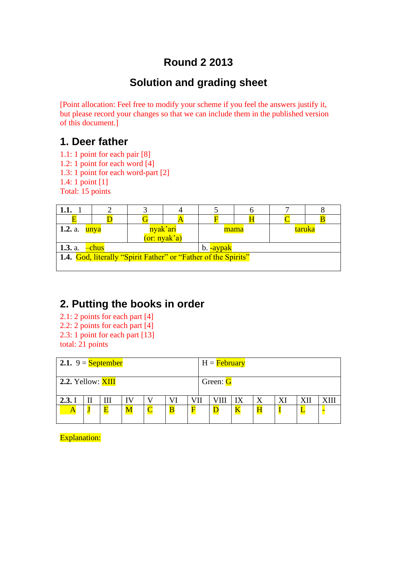# **Round 2 2013**

# **Solution and grading sheet**

[Point allocation: Feel free to modify your scheme if you feel the answers justify it, but please record your changes so that we can include them in the published version of this document.]

## **1. Deer father**

- 1.1: 1 point for each pair [8]
- 1.2: 1 point for each word [4]
- 1.3: 1 point for each word-part [2]
- 1.4: 1 point [1]
- Total: 15 points

| 1.1.                                                                  |  |      |  |        |  |  |  |
|-----------------------------------------------------------------------|--|------|--|--------|--|--|--|
|                                                                       |  |      |  |        |  |  |  |
| 1.2. a. $unya$<br>nyak'ari<br>(or: nyak'a)                            |  | mama |  | taruka |  |  |  |
| <b>1.3.</b> a. $-\text{chus}$<br>b. -aypak                            |  |      |  |        |  |  |  |
| <b>1.4.</b> God, literally "Spirit Father" or "Father of the Spirits" |  |      |  |        |  |  |  |

# **2. Putting the books in order**

- 2.1: 2 points for each part [4] 2.2: 2 points for each part [4] 2.3: 1 point for each part [13]
- total: 21 points

| 2.1. 9 = $S$ eptember |  |   |   |  |                         |          | H = <b>February</b> |    |   |  |     |  |
|-----------------------|--|---|---|--|-------------------------|----------|---------------------|----|---|--|-----|--|
| 2.2. Yellow: XIII     |  |   |   |  |                         | Green: G |                     |    |   |  |     |  |
| 2.3.1                 |  |   |   |  |                         | VII      |                     | IX | X |  | XII |  |
|                       |  | F | M |  | $\overline{\mathbf{B}}$ | F        |                     | K  |   |  | ┺   |  |

Explanation: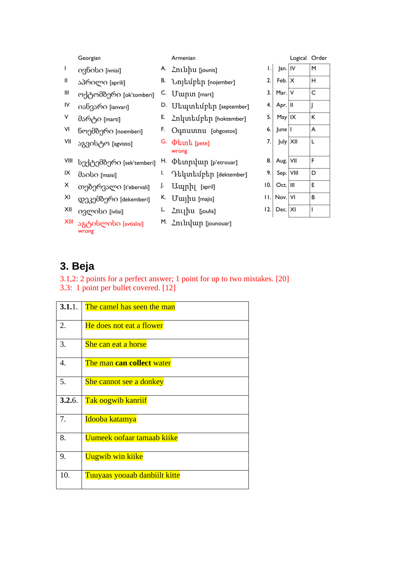|      | Georgian                       |    | Armenian                                    |    |                   | Logical Order |   |
|------|--------------------------------|----|---------------------------------------------|----|-------------------|---------------|---|
| ı    | o3bopo [ivnisi]                |    | A. Zniupu [jounis]                          | ۱. | Jan.   IV         |               | м |
| Ш    | აპრილი [aprili]                |    | B. <b>Unjuuphp</b> [nojember]               | 2. | Feb. $ X $        |               | н |
| Ш    | ოქტომბერი [ok'tomberi]         | C. | Uwnu [mart]                                 | 3. | Mar. $ V $        |               | C |
| IV   | იანვარი [ianvari]              | D. | Uեպտեմբեր [september]                       | 4. | Apr. II           |               | J |
| V    | მარტი [marti]                  | Е. | Znluntuptp [hoktember]                      | 5. | $May$   IX        |               | К |
| VI   | ნოემბერი [noemberi]            | F. | Oqnuunnu [ohgostos]                         | 6. | June   I          |               | A |
| VII  | აგვისტო [agvisto]              | G. | $\Phi$ and $[$ pete]<br>wrong               | 7. | July X            |               | L |
| VIII | სექტემბერი [sek'temberi]       |    | H. <b><i><u>Dunpuup</u></i></b> [p'etrouar] | 8. | Aug.   VII        |               | F |
| ΙX   | dsobo [maisi]                  | I. | Դեկտեմբեր [dektember]                       | 9. | Sep. VIII         |               | D |
| X    | თებერვალი [t'ebervali]         | J. | Uuph <sub>1</sub> [april]                   | 0. | $Oct.$  III       |               | E |
| XI   | დეკემბერი [dekemberi]          |    | K. Uwju [majis]                             |    | $II.$ Nov. VI     |               | В |
| XII  | ივლისი [ivlisi]                | L. | Znyhu [joulis]                              |    | $ 2. $ Dec. $ X $ |               | T |
| XIII | აგტისლისი [avtislisi]<br>wrong |    | M. Zniulup [jounouar]                       |    |                   |               |   |

# **3. Beja**

3.1,2: 2 points for a perfect answer; 1 point for up to two mistakes. [20] 3.3: 1 point per bullet covered. [12]

| 3.1.1.           | The camel has seen the man     |
|------------------|--------------------------------|
| 2.               | He does not eat a flower       |
| 3.               | She can eat a horse            |
| $\overline{4}$ . | The man can collect water      |
| 5.               | <b>She cannot see a donkey</b> |
| 3.2.6.           | <b>Tak oogwib kanriif</b>      |
| 7.               | <u>Idooba katamya</u>          |
| 8.               | Uumeek oofaar tamaab kiike     |
| 9.               | <b>Uugwib win kiike</b>        |
| 10.              | Tuuyaas yooaab danbiilt kitte  |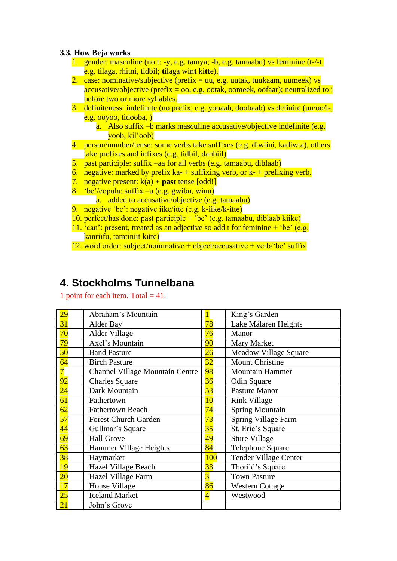#### **3.3. How Beja works**

- 1. gender: masculine (no t: -y, e.g. tamya; -b, e.g. tamaabu) vs feminine (t-/-t, e.g. tilaga, rhitni, tidbil; **t**ilaga win**t** ki**tt**e).
- 2. case: nominative/subjective (prefix = uu, e.g. uutak, tuukaam, uumeek) vs accusative/objective (prefix =  $\omega$ , e.g. ootak, oomeek, oofaar); neutralized to i before two or more syllables.
- 3. definiteness: indefinite (no prefix, e.g. yooaab, doobaab) vs definite (uu/oo/i-, e.g. ooyoo, tidooba, )
	- a. Also suffix –b marks masculine accusative/objective indefinite (e.g. yoob, kil'oob)
- 4. person/number/tense: some verbs take suffixes (e.g. diwiini, kadiwta), others take prefixes and infixes (e.g. tidbil, danbiil)
- 5. past participle: suffix –aa for all verbs (e.g. tamaabu, diblaab)
- 6. negative: marked by prefix  $ka$  + suffixing verb, or  $k$  + prefixing verb.
- 7. negative present:  $k(a) +$  **past** tense  $[odd!]$
- 8. 'be'/copula: suffix –u (e.g. gwibu, winu)
	- a. added to accusative/objective (e.g. tamaabu)
- 9. negative 'be': negative iike/itte (e.g. k-iike/k-itte)
- 10. perfect/has done: past participle  $+$  'be' (e.g. tamaabu, diblaab kiike)
- 11. 'can': present, treated as an adjective so add t for feminine  $+$  'be' (e.g. kanriifu, tamtiniit kitte)
- 12. word order: subject/nominative + object/accusative + verb/'be' suffix

### **4. Stockholms Tunnelbana**

1 point for each item. Total  $= 41$ .

| <u>29</u>       | Abraham's Mountain                     |                | King's Garden                |
|-----------------|----------------------------------------|----------------|------------------------------|
| 31              | Alder Bay                              | 78             | Lake Mälaren Heights         |
| 70              | Alder Village                          | 76             | Manor                        |
| 79              | Axel's Mountain                        | 90             | Mary Market                  |
| 50              | <b>Band Pasture</b>                    | 26             | <b>Meadow Village Square</b> |
| 64              | <b>Birch Pasture</b>                   | 32             | <b>Mount Christine</b>       |
| $\overline{7}$  | <b>Channel Village Mountain Centre</b> | 98             | <b>Mountain Hammer</b>       |
| 92              | <b>Charles Square</b>                  | 36             | Odin Square                  |
| $\overline{24}$ | Dark Mountain                          | 53             | Pasture Manor                |
| 61              | Fathertown                             | 10             | <b>Rink Village</b>          |
| 62              | <b>Fathertown Beach</b>                | 74             | <b>Spring Mountain</b>       |
| 57              | <b>Forest Church Garden</b>            | 73             | Spring Village Farm          |
| $\overline{44}$ | Gullmar's Square                       | 35             | St. Eric's Square            |
| 69              | <b>Hall Grove</b>                      | 49             | <b>Sture Village</b>         |
| 63              | Hammer Village Heights                 | 84             | <b>Telephone Square</b>      |
| 38              | Haymarket                              | <b>100</b>     | <b>Tender Village Center</b> |
| 19              | Hazel Village Beach                    | 33             | Thorild's Square             |
| $\overline{20}$ | Hazel Village Farm                     | $\overline{3}$ | <b>Town Pasture</b>          |
| 17              | House Village                          | 86             | <b>Western Cottage</b>       |
| $25\,$          | <b>Iceland Market</b>                  | $\overline{4}$ | Westwood                     |
| $\overline{21}$ | John's Grove                           |                |                              |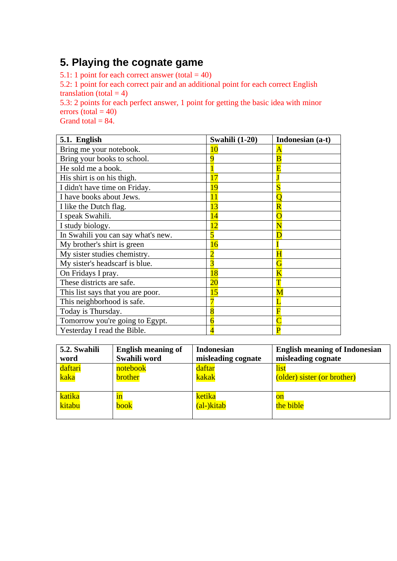## **5. Playing the cognate game**

5.1: 1 point for each correct answer (total  $= 40$ )

5.2: 1 point for each correct pair and an additional point for each correct English translation (total  $= 4$ )

5.3: 2 points for each perfect answer, 1 point for getting the basic idea with minor errors (total  $= 40$ )

Grand total  $= 84$ .

| 5.1. English                       | Swahili (1-20) | Indonesian (a-t)        |
|------------------------------------|----------------|-------------------------|
| Bring me your notebook.            | 10             | A                       |
| Bring your books to school.        | q              | $\overline{\mathbf{B}}$ |
| He sold me a book.                 |                | E                       |
| His shirt is on his thigh.         | 17             |                         |
| I didn't have time on Friday.      | 19             |                         |
| I have books about Jews.           | 11             | O                       |
| I like the Dutch flag.             | 13             | $\overline{\text{R}}$   |
| I speak Swahili.                   | 14             | $\overline{\text{O}}$   |
| I study biology.                   | 12             | $\overline{\text{N}}$   |
| In Swahili you can say what's new. | 5              | D                       |
| My brother's shirt is green        | 16             |                         |
| My sister studies chemistry.       | $\overline{2}$ | $\overline{\mathrm{H}}$ |
| My sister's headscarf is blue.     | $\overline{3}$ | G                       |
| On Fridays I pray.                 | 18             | $\overline{\mathrm{K}}$ |
| These districts are safe.          | 20             | T                       |
| This list says that you are poor.  | 15             | $\overline{\text{M}}$   |
| This neighborhood is safe.         |                |                         |
| Today is Thursday.                 | 8              | F                       |
| Tomorrow you're going to Egypt.    |                |                         |
| Yesterday I read the Bible.        | 4              | P                       |

| 5.2. Swahili | <b>English meaning of</b> | <b>Indonesian</b>  | <b>English meaning of Indonesian</b> |
|--------------|---------------------------|--------------------|--------------------------------------|
| word         | Swahili word              | misleading cognate | misleading cognate                   |
| daftari      | notebook                  | daftar             | list                                 |
| kaka         | <b>brother</b>            | kakak              | (older) sister (or brother)          |
| katika       | 1n                        | ketika             | <b>on</b>                            |
| kitabu       | book                      | (al-)kitab         | the bible                            |